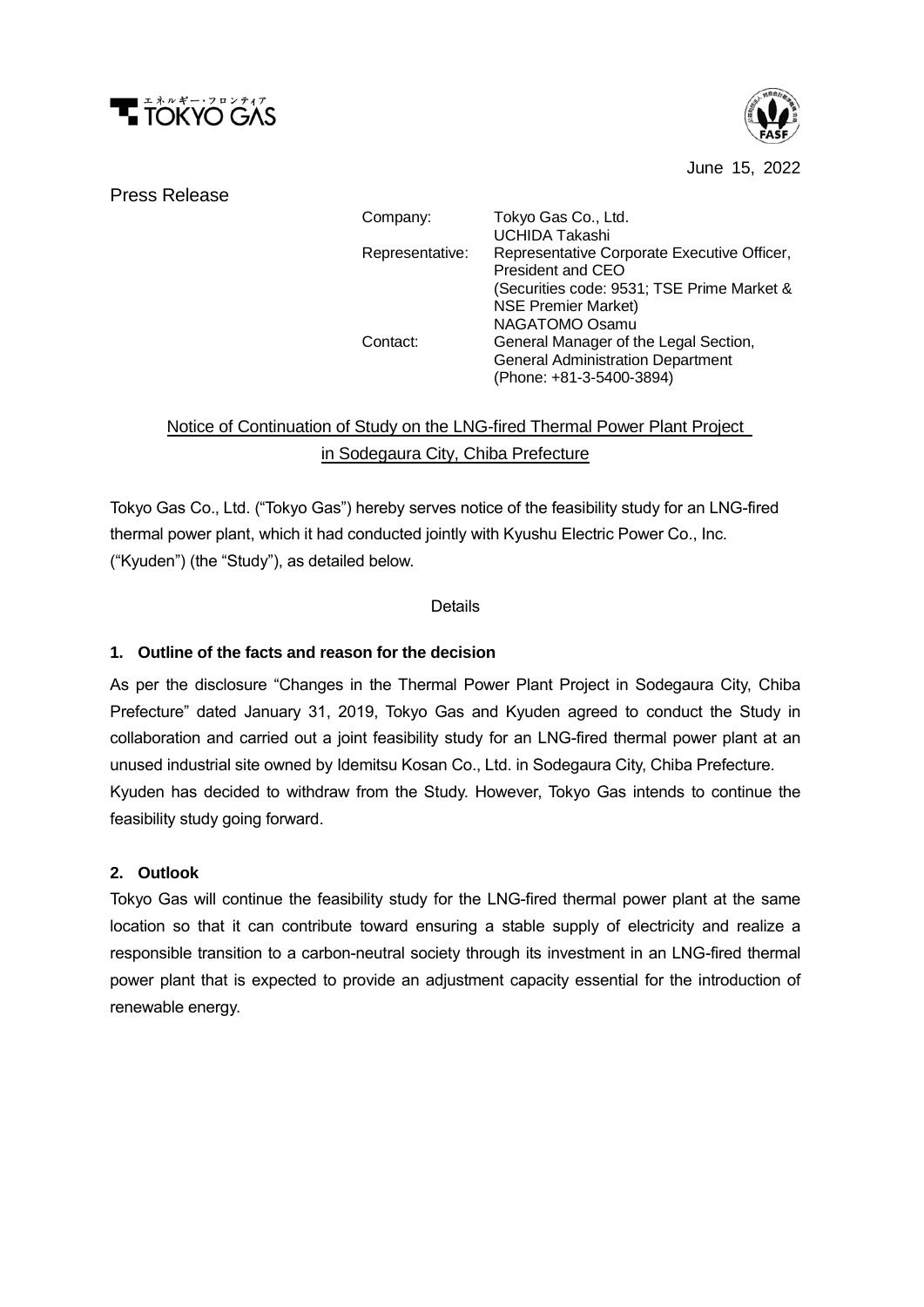



June 15, 2022

#### Press Release

Company: Tokyo Gas Co., Ltd. Representative: UCHIDA Takashi Representative Corporate Executive Officer, President and CEO (Securities code: 9531; TSE Prime Market & NSE Premier Market) Contact: NAGATOMO Osamu General Manager of the Legal Section, General Administration Department (Phone: +81-3-5400-3894)

# Notice of Continuation of Study on the LNG-fired Thermal Power Plant Project in Sodegaura City, Chiba Prefecture

Tokyo Gas Co., Ltd. ("Tokyo Gas") hereby serves notice of the feasibility study for an LNG-fired thermal power plant, which it had conducted jointly with Kyushu Electric Power Co., Inc. ("Kyuden") (the "Study"), as detailed below.

#### **Details**

### **1. Outline of the facts and reason for the decision**

As per the disclosure "Changes in the Thermal Power Plant Project in Sodegaura City, Chiba Prefecture" dated January 31, 2019, Tokyo Gas and Kyuden agreed to conduct the Study in collaboration and carried out a joint feasibility study for an LNG-fired thermal power plant at an unused industrial site owned by Idemitsu Kosan Co., Ltd. in Sodegaura City, Chiba Prefecture. Kyuden has decided to withdraw from the Study. However, Tokyo Gas intends to continue the feasibility study going forward.

#### **2. Outlook**

Tokyo Gas will continue the feasibility study for the LNG-fired thermal power plant at the same location so that it can contribute toward ensuring a stable supply of electricity and realize a responsible transition to a carbon-neutral society through its investment in an LNG-fired thermal power plant that is expected to provide an adjustment capacity essential for the introduction of renewable energy.